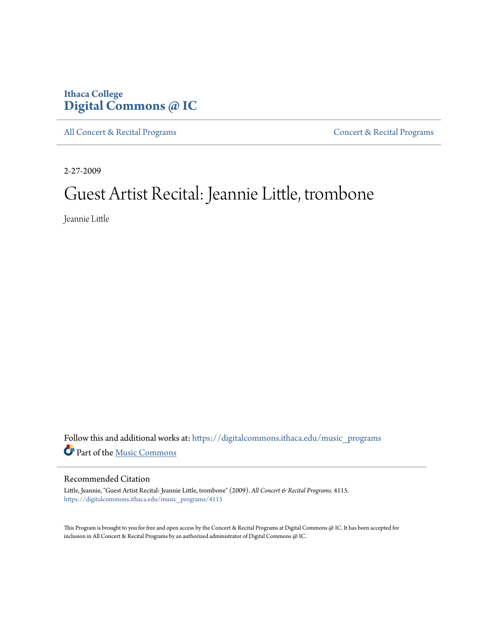## **Ithaca College [Digital Commons @ IC](https://digitalcommons.ithaca.edu?utm_source=digitalcommons.ithaca.edu%2Fmusic_programs%2F4115&utm_medium=PDF&utm_campaign=PDFCoverPages)**

[All Concert & Recital Programs](https://digitalcommons.ithaca.edu/music_programs?utm_source=digitalcommons.ithaca.edu%2Fmusic_programs%2F4115&utm_medium=PDF&utm_campaign=PDFCoverPages) **[Concert & Recital Programs](https://digitalcommons.ithaca.edu/som_programs?utm_source=digitalcommons.ithaca.edu%2Fmusic_programs%2F4115&utm_medium=PDF&utm_campaign=PDFCoverPages)** 

2-27-2009

# Guest Artist Recital: Jeannie Little, trombone

Jeannie Little

Follow this and additional works at: [https://digitalcommons.ithaca.edu/music\\_programs](https://digitalcommons.ithaca.edu/music_programs?utm_source=digitalcommons.ithaca.edu%2Fmusic_programs%2F4115&utm_medium=PDF&utm_campaign=PDFCoverPages) Part of the [Music Commons](http://network.bepress.com/hgg/discipline/518?utm_source=digitalcommons.ithaca.edu%2Fmusic_programs%2F4115&utm_medium=PDF&utm_campaign=PDFCoverPages)

#### Recommended Citation

Little, Jeannie, "Guest Artist Recital: Jeannie Little, trombone" (2009). *All Concert & Recital Programs*. 4115. [https://digitalcommons.ithaca.edu/music\\_programs/4115](https://digitalcommons.ithaca.edu/music_programs/4115?utm_source=digitalcommons.ithaca.edu%2Fmusic_programs%2F4115&utm_medium=PDF&utm_campaign=PDFCoverPages)

This Program is brought to you for free and open access by the Concert & Recital Programs at Digital Commons @ IC. It has been accepted for inclusion in All Concert & Recital Programs by an authorized administrator of Digital Commons @ IC.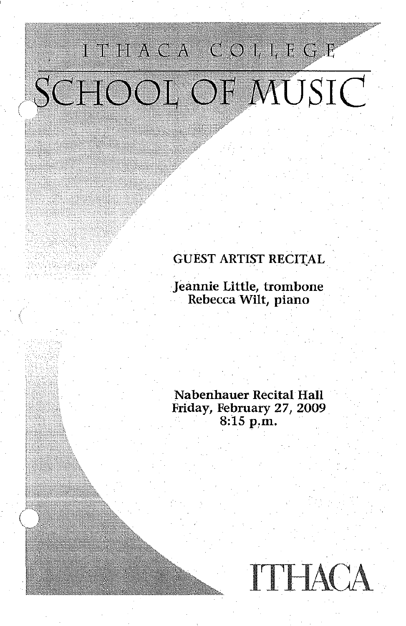# ITHACA COLLEGE SCHOOL OF MUSIC

*(* 

### GUEST ARTIST RECITAL

Jeannie Little, trombone Rebecca Wilt, piano

Nabenhauer Recital Hall Friday, February 27, 2009 8:15 p,m.